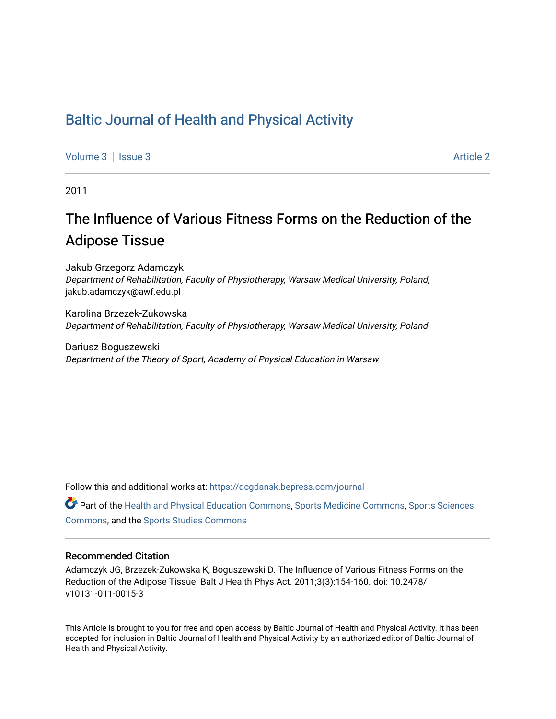# [Baltic Journal of Health and Physical Activity](https://dcgdansk.bepress.com/journal)

[Volume 3](https://dcgdansk.bepress.com/journal/vol3) | [Issue 3](https://dcgdansk.bepress.com/journal/vol3/iss3) Article 2

2011

# The Influence of Various Fitness Forms on the Reduction of the Adipose Tissue

Jakub Grzegorz Adamczyk Department of Rehabilitation, Faculty of Physiotherapy, Warsaw Medical University, Poland, jakub.adamczyk@awf.edu.pl

Karolina Brzezek-Zukowska Department of Rehabilitation, Faculty of Physiotherapy, Warsaw Medical University, Poland

Dariusz Boguszewski Department of the Theory of Sport, Academy of Physical Education in Warsaw

Follow this and additional works at: [https://dcgdansk.bepress.com/journal](https://dcgdansk.bepress.com/journal?utm_source=dcgdansk.bepress.com%2Fjournal%2Fvol3%2Fiss3%2F2&utm_medium=PDF&utm_campaign=PDFCoverPages)

Part of the [Health and Physical Education Commons](http://network.bepress.com/hgg/discipline/1327?utm_source=dcgdansk.bepress.com%2Fjournal%2Fvol3%2Fiss3%2F2&utm_medium=PDF&utm_campaign=PDFCoverPages), [Sports Medicine Commons,](http://network.bepress.com/hgg/discipline/1331?utm_source=dcgdansk.bepress.com%2Fjournal%2Fvol3%2Fiss3%2F2&utm_medium=PDF&utm_campaign=PDFCoverPages) [Sports Sciences](http://network.bepress.com/hgg/discipline/759?utm_source=dcgdansk.bepress.com%2Fjournal%2Fvol3%2Fiss3%2F2&utm_medium=PDF&utm_campaign=PDFCoverPages) [Commons](http://network.bepress.com/hgg/discipline/759?utm_source=dcgdansk.bepress.com%2Fjournal%2Fvol3%2Fiss3%2F2&utm_medium=PDF&utm_campaign=PDFCoverPages), and the [Sports Studies Commons](http://network.bepress.com/hgg/discipline/1198?utm_source=dcgdansk.bepress.com%2Fjournal%2Fvol3%2Fiss3%2F2&utm_medium=PDF&utm_campaign=PDFCoverPages) 

#### Recommended Citation

Adamczyk JG, Brzezek-Zukowska K, Boguszewski D. The Influence of Various Fitness Forms on the Reduction of the Adipose Tissue. Balt J Health Phys Act. 2011;3(3):154-160. doi: 10.2478/ v10131-011-0015-3

This Article is brought to you for free and open access by Baltic Journal of Health and Physical Activity. It has been accepted for inclusion in Baltic Journal of Health and Physical Activity by an authorized editor of Baltic Journal of Health and Physical Activity.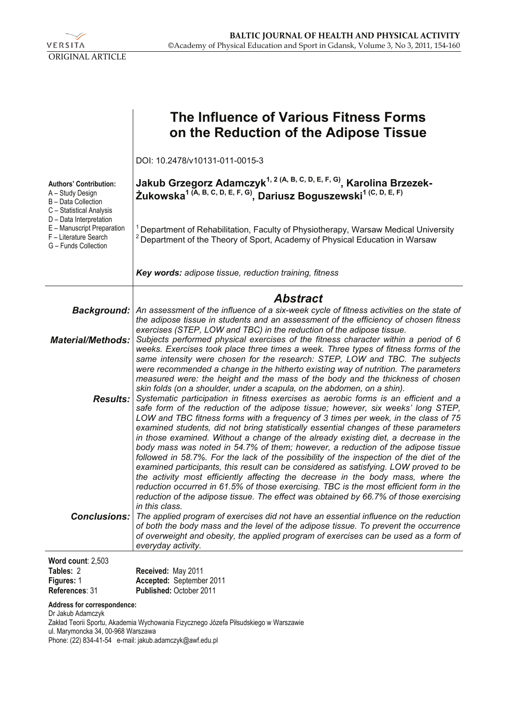

|                                                                                                        | The Influence of Various Fitness Forms<br>on the Reduction of the Adipose Tissue                                                                                                                                                                                                                                                                                                                                                                                                                                                                                                                                                                                                                                                                                                                                                                                                                                                                                                                                                                                                                                                                                                                                                                |  |  |  |
|--------------------------------------------------------------------------------------------------------|-------------------------------------------------------------------------------------------------------------------------------------------------------------------------------------------------------------------------------------------------------------------------------------------------------------------------------------------------------------------------------------------------------------------------------------------------------------------------------------------------------------------------------------------------------------------------------------------------------------------------------------------------------------------------------------------------------------------------------------------------------------------------------------------------------------------------------------------------------------------------------------------------------------------------------------------------------------------------------------------------------------------------------------------------------------------------------------------------------------------------------------------------------------------------------------------------------------------------------------------------|--|--|--|
|                                                                                                        | DOI: 10.2478/v10131-011-0015-3                                                                                                                                                                                                                                                                                                                                                                                                                                                                                                                                                                                                                                                                                                                                                                                                                                                                                                                                                                                                                                                                                                                                                                                                                  |  |  |  |
| <b>Authors' Contribution:</b><br>A – Study Design<br>B - Data Collection<br>C - Statistical Analysis   | Jakub Grzegorz Adamczyk <sup>1, 2 (A, B, C, D, E, F, G)</sup> , Karolina Brzezek-<br>Żukowska <sup>1</sup> (A, B, C, D, E, F, G), Dariusz Boguszewski <sup>1 (C, D, E, F)</sup>                                                                                                                                                                                                                                                                                                                                                                                                                                                                                                                                                                                                                                                                                                                                                                                                                                                                                                                                                                                                                                                                 |  |  |  |
| D - Data Interpretation<br>E - Manuscript Preparation<br>F - Literature Search<br>G - Funds Collection | Department of Rehabilitation, Faculty of Physiotherapy, Warsaw Medical University<br><sup>2</sup> Department of the Theory of Sport, Academy of Physical Education in Warsaw                                                                                                                                                                                                                                                                                                                                                                                                                                                                                                                                                                                                                                                                                                                                                                                                                                                                                                                                                                                                                                                                    |  |  |  |
|                                                                                                        | Key words: adipose tissue, reduction training, fitness                                                                                                                                                                                                                                                                                                                                                                                                                                                                                                                                                                                                                                                                                                                                                                                                                                                                                                                                                                                                                                                                                                                                                                                          |  |  |  |
|                                                                                                        | <b>Abstract</b>                                                                                                                                                                                                                                                                                                                                                                                                                                                                                                                                                                                                                                                                                                                                                                                                                                                                                                                                                                                                                                                                                                                                                                                                                                 |  |  |  |
| Background:                                                                                            | An assessment of the influence of a six-week cycle of fitness activities on the state of<br>the adipose tissue in students and an assessment of the efficiency of chosen fitness                                                                                                                                                                                                                                                                                                                                                                                                                                                                                                                                                                                                                                                                                                                                                                                                                                                                                                                                                                                                                                                                |  |  |  |
| <b>Material/Methods:</b>                                                                               | exercises (STEP, LOW and TBC) in the reduction of the adipose tissue.<br>Subjects performed physical exercises of the fitness character within a period of 6<br>weeks. Exercises took place three times a week. Three types of fitness forms of the<br>same intensity were chosen for the research: STEP, LOW and TBC. The subjects                                                                                                                                                                                                                                                                                                                                                                                                                                                                                                                                                                                                                                                                                                                                                                                                                                                                                                             |  |  |  |
| <b>Results:</b>                                                                                        | were recommended a change in the hitherto existing way of nutrition. The parameters<br>measured were: the height and the mass of the body and the thickness of chosen<br>skin folds (on a shoulder, under a scapula, on the abdomen, on a shin).<br>Systematic participation in fitness exercises as aerobic forms is an efficient and a<br>safe form of the reduction of the adipose tissue; however, six weeks' long STEP,<br>LOW and TBC fitness forms with a frequency of 3 times per week, in the class of 75<br>examined students, did not bring statistically essential changes of these parameters<br>in those examined. Without a change of the already existing diet, a decrease in the<br>body mass was noted in 54.7% of them; however, a reduction of the adipose tissue<br>followed in 58.7%. For the lack of the possibility of the inspection of the diet of the<br>examined participants, this result can be considered as satisfying. LOW proved to be<br>the activity most efficiently affecting the decrease in the body mass, where the<br>reduction occurred in 61.5% of those exercising. TBC is the most efficient form in the<br>reduction of the adipose tissue. The effect was obtained by 66.7% of those exercising |  |  |  |
| <b>Conclusions:</b>                                                                                    | in this class.<br>The applied program of exercises did not have an essential influence on the reduction<br>of both the body mass and the level of the adipose tissue. To prevent the occurrence<br>of overweight and obesity, the applied program of exercises can be used as a form of<br>everyday activity.                                                                                                                                                                                                                                                                                                                                                                                                                                                                                                                                                                                                                                                                                                                                                                                                                                                                                                                                   |  |  |  |
| Word count: 2,503                                                                                      |                                                                                                                                                                                                                                                                                                                                                                                                                                                                                                                                                                                                                                                                                                                                                                                                                                                                                                                                                                                                                                                                                                                                                                                                                                                 |  |  |  |

| . . <b>.</b> . <b>.</b><br>Tables: 2 | Received: May 2011             |
|--------------------------------------|--------------------------------|
| <b>Figures: 1</b>                    | Accepted: September 2011       |
| References: 31                       | <b>Published: October 2011</b> |

**Address for correspondence:** 

Dr Jakub Adamczyk Zakład Teorii Sportu, Akademia Wychowania Fizycznego Józefa Piłsudskiego w Warszawie ul. Marymoncka 34, 00-968 Warszawa Phone: (22) 834-41-54 e-mail: jakub.adamczyk@awf.edu.pl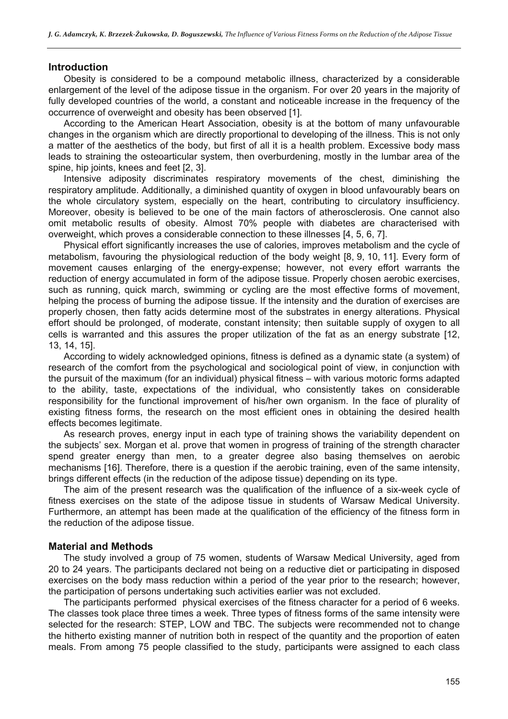#### **Introduction**

Obesity is considered to be a compound metabolic illness, characterized by a considerable enlargement of the level of the adipose tissue in the organism. For over 20 years in the majority of fully developed countries of the world, a constant and noticeable increase in the frequency of the occurrence of overweight and obesity has been observed [1].

According to the American Heart Association, obesity is at the bottom of many unfavourable changes in the organism which are directly proportional to developing of the illness. This is not only a matter of the aesthetics of the body, but first of all it is a health problem. Excessive body mass leads to straining the osteoarticular system, then overburdening, mostly in the lumbar area of the spine, hip joints, knees and feet [2, 3].

Intensive adiposity discriminates respiratory movements of the chest, diminishing the respiratory amplitude. Additionally, a diminished quantity of oxygen in blood unfavourably bears on the whole circulatory system, especially on the heart, contributing to circulatory insufficiency. Moreover, obesity is believed to be one of the main factors of atherosclerosis. One cannot also omit metabolic results of obesity. Almost 70% people with diabetes are characterised with overweight, which proves a considerable connection to these illnesses [4, 5, 6, 7].

Physical effort significantly increases the use of calories, improves metabolism and the cycle of metabolism, favouring the physiological reduction of the body weight [8, 9, 10, 11]. Every form of movement causes enlarging of the energy-expense; however, not every effort warrants the reduction of energy accumulated in form of the adipose tissue. Properly chosen aerobic exercises, such as running, quick march, swimming or cycling are the most effective forms of movement, helping the process of burning the adipose tissue. If the intensity and the duration of exercises are properly chosen, then fatty acids determine most of the substrates in energy alterations. Physical effort should be prolonged, of moderate, constant intensity; then suitable supply of oxygen to all cells is warranted and this assures the proper utilization of the fat as an energy substrate [12, 13, 14, 15].

According to widely acknowledged opinions, fitness is defined as a dynamic state (a system) of research of the comfort from the psychological and sociological point of view, in conjunction with the pursuit of the maximum (for an individual) physical fitness – with various motoric forms adapted to the ability, taste, expectations of the individual, who consistently takes on considerable responsibility for the functional improvement of his/her own organism. In the face of plurality of existing fitness forms, the research on the most efficient ones in obtaining the desired health effects becomes legitimate.

As research proves, energy input in each type of training shows the variability dependent on the subjects' sex. Morgan et al. prove that women in progress of training of the strength character spend greater energy than men, to a greater degree also basing themselves on aerobic mechanisms [16]. Therefore, there is a question if the aerobic training, even of the same intensity, brings different effects (in the reduction of the adipose tissue) depending on its type.

The aim of the present research was the qualification of the influence of a six-week cycle of fitness exercises on the state of the adipose tissue in students of Warsaw Medical University. Furthermore, an attempt has been made at the qualification of the efficiency of the fitness form in the reduction of the adipose tissue.

#### **Material and Methods**

The study involved a group of 75 women, students of Warsaw Medical University, aged from 20 to 24 years. The participants declared not being on a reductive diet or participating in disposed exercises on the body mass reduction within a period of the year prior to the research; however, the participation of persons undertaking such activities earlier was not excluded.

The participants performed physical exercises of the fitness character for a period of 6 weeks. The classes took place three times a week. Three types of fitness forms of the same intensity were selected for the research: STEP, LOW and TBC. The subjects were recommended not to change the hitherto existing manner of nutrition both in respect of the quantity and the proportion of eaten meals. From among 75 people classified to the study, participants were assigned to each class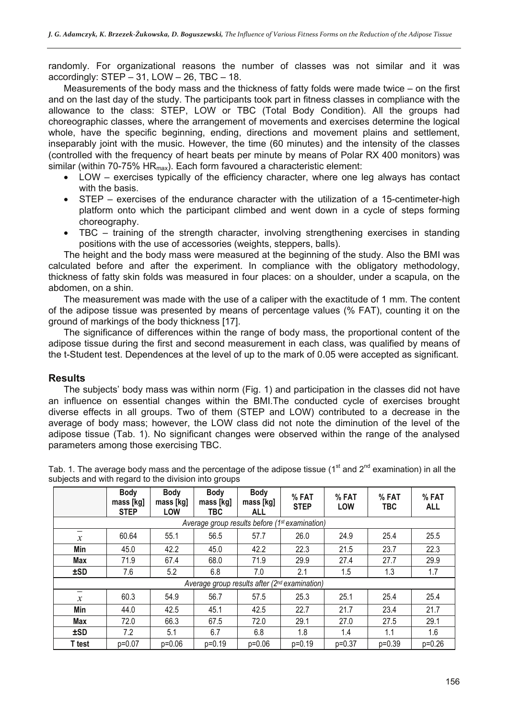randomly. For organizational reasons the number of classes was not similar and it was accordingly:  $STEP - 31$ ,  $LOW - 26$ ,  $TBC - 18$ .

Measurements of the body mass and the thickness of fatty folds were made twice – on the first and on the last day of the study. The participants took part in fitness classes in compliance with the allowance to the class: STEP, LOW or TBC (Total Body Condition). All the groups had choreographic classes, where the arrangement of movements and exercises determine the logical whole, have the specific beginning, ending, directions and movement plains and settlement, inseparably joint with the music. However, the time (60 minutes) and the intensity of the classes (controlled with the frequency of heart beats per minute by means of Polar RX 400 monitors) was similar (within 70-75%  $HR<sub>max</sub>$ ). Each form favoured a characteristic element:

- LOW exercises typically of the efficiency character, where one leg always has contact with the basis.
- STEP exercises of the endurance character with the utilization of a 15-centimeter-high platform onto which the participant climbed and went down in a cycle of steps forming choreography.
- TBC training of the strength character, involving strengthening exercises in standing positions with the use of accessories (weights, steppers, balls).

The height and the body mass were measured at the beginning of the study. Also the BMI was calculated before and after the experiment. In compliance with the obligatory methodology, thickness of fatty skin folds was measured in four places: on a shoulder, under a scapula, on the abdomen, on a shin.

The measurement was made with the use of a caliper with the exactitude of 1 mm. The content of the adipose tissue was presented by means of percentage values (% FAT), counting it on the ground of markings of the body thickness [17].

The significance of differences within the range of body mass, the proportional content of the adipose tissue during the first and second measurement in each class, was qualified by means of the t-Student test. Dependences at the level of up to the mark of 0.05 were accepted as significant.

## **Results**

The subjects' body mass was within norm (Fig. 1) and participation in the classes did not have an influence on essential changes within the BMI.The conducted cycle of exercises brought diverse effects in all groups. Two of them (STEP and LOW) contributed to a decrease in the average of body mass; however, the LOW class did not note the diminution of the level of the adipose tissue (Tab. 1). No significant changes were observed within the range of the analysed parameters among those exercising TBC.

|                                                            | <b>Body</b><br>mass [kg]<br><b>STEP</b> | <b>Body</b><br>mass [kg]<br>LOW | <b>Body</b><br>mass [kg]<br>TBC. | <b>Body</b><br>mass [kg]<br><b>ALL</b> | %FAT<br><b>STEP</b> | % FAT<br><b>LOW</b> | %FAT<br><b>TBC</b> | %FAT<br><b>ALL</b> |
|------------------------------------------------------------|-----------------------------------------|---------------------------------|----------------------------------|----------------------------------------|---------------------|---------------------|--------------------|--------------------|
| Average group results before (1 <sup>st</sup> examination) |                                         |                                 |                                  |                                        |                     |                     |                    |                    |
| —<br>$\mathcal{X}$                                         | 60.64                                   | 55.1                            | 56.5                             | 57.7                                   | 26.0                | 24.9                | 25.4               | 25.5               |
| Min                                                        | 45.0                                    | 42.2                            | 45.0                             | 42.2                                   | 22.3                | 21.5                | 23.7               | 22.3               |
| Max                                                        | 71.9                                    | 67.4                            | 68.0                             | 71.9                                   | 29.9                | 27.4                | 27.7               | 29.9               |
| ±SD                                                        | 7.6                                     | 5.2                             | 6.8                              | 7.0                                    | 2.1                 | 1.5                 | 1.3                | 1.7                |
| Average group results after (2 <sup>nd</sup> examination)  |                                         |                                 |                                  |                                        |                     |                     |                    |                    |
| -<br>$\mathcal{X}$                                         | 60.3                                    | 54.9                            | 56.7                             | 57.5                                   | 25.3                | 25.1                | 25.4               | 25.4               |
| Min                                                        | 44.0                                    | 42.5                            | 45.1                             | 42.5                                   | 22.7                | 21.7                | 23.4               | 21.7               |
| Max                                                        | 72.0                                    | 66.3                            | 67.5                             | 72.0                                   | 29.1                | 27.0                | 27.5               | 29.1               |
| ±SD                                                        | 7.2                                     | 5.1                             | 6.7                              | 6.8                                    | 1.8                 | 1.4                 | 1.1                | 1.6                |
| T test                                                     | $p=0.07$                                | $p=0.06$                        | $p=0.19$                         | $p=0.06$                               | $p=0.19$            | $p=0.37$            | $p=0.39$           | $p=0.26$           |

Tab. 1. The average body mass and the percentage of the adipose tissue ( $1<sup>st</sup>$  and  $2<sup>nd</sup>$  examination) in all the subjects and with regard to the division into groups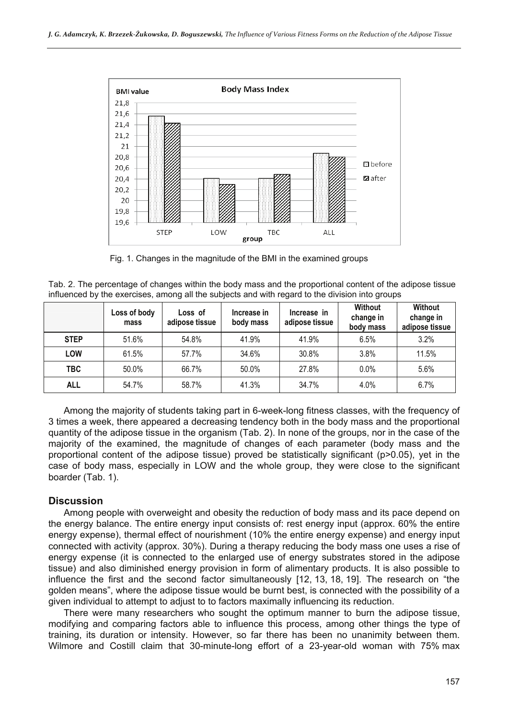

Fig. 1. Changes in the magnitude of the BMI in the examined groups

| Tab. 2. The percentage of changes within the body mass and the proportional content of the adipose tissue |  |  |
|-----------------------------------------------------------------------------------------------------------|--|--|
| influenced by the exercises, among all the subjects and with regard to the division into groups           |  |  |

|             | Loss of body<br>mass | Loss of<br>adipose tissue | Increase in<br>body mass | Increase in<br>adipose tissue | <b>Without</b><br>change in<br>body mass | Without<br>change in<br>adipose tissue |
|-------------|----------------------|---------------------------|--------------------------|-------------------------------|------------------------------------------|----------------------------------------|
| <b>STEP</b> | 51.6%                | 54.8%                     | 41.9%                    | 41.9%                         | 6.5%                                     | 3.2%                                   |
| <b>LOW</b>  | 61.5%                | 57.7%                     | 34.6%                    | 30.8%                         | 3.8%                                     | 11.5%                                  |
| TBC.        | 50.0%                | 66.7%                     | 50.0%                    | 27.8%                         | 0.0%                                     | 5.6%                                   |
| <b>ALL</b>  | 54.7%                | 58.7%                     | 41.3%                    | 34.7%                         | 4.0%                                     | 6.7%                                   |

Among the majority of students taking part in 6-week-long fitness classes, with the frequency of 3 times a week, there appeared a decreasing tendency both in the body mass and the proportional quantity of the adipose tissue in the organism (Tab. 2). In none of the groups, nor in the case of the majority of the examined, the magnitude of changes of each parameter (body mass and the proportional content of the adipose tissue) proved be statistically significant (p>0.05), yet in the case of body mass, especially in LOW and the whole group, they were close to the significant boarder (Tab. 1).

## **Discussion**

Among people with overweight and obesity the reduction of body mass and its pace depend on the energy balance. The entire energy input consists of: rest energy input (approx. 60% the entire energy expense), thermal effect of nourishment (10% the entire energy expense) and energy input connected with activity (approx. 30%). During a therapy reducing the body mass one uses a rise of energy expense (it is connected to the enlarged use of energy substrates stored in the adipose tissue) and also diminished energy provision in form of alimentary products. It is also possible to influence the first and the second factor simultaneously [12, 13, 18, 19]. The research on "the golden means", where the adipose tissue would be burnt best, is connected with the possibility of a given individual to attempt to adjust to to factors maximally influencing its reduction.

There were many researchers who sought the optimum manner to burn the adipose tissue, modifying and comparing factors able to influence this process, among other things the type of training, its duration or intensity. However, so far there has been no unanimity between them. Wilmore and Costill claim that 30-minute-long effort of a 23-year-old woman with 75% max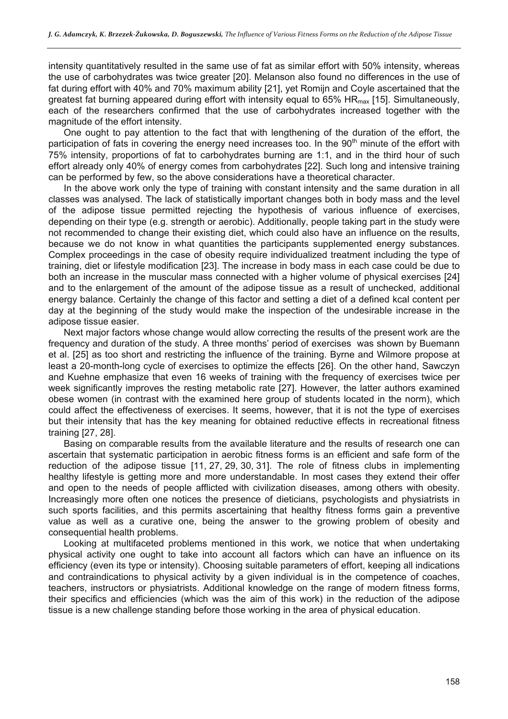intensity quantitatively resulted in the same use of fat as similar effort with 50% intensity, whereas the use of carbohydrates was twice greater [20]. Melanson also found no differences in the use of fat during effort with 40% and 70% maximum ability [21], yet Romijn and Coyle ascertained that the greatest fat burning appeared during effort with intensity equal to  $65\%$  HR $_{max}$  [15]. Simultaneously, each of the researchers confirmed that the use of carbohydrates increased together with the magnitude of the effort intensity.

One ought to pay attention to the fact that with lengthening of the duration of the effort, the participation of fats in covering the energy need increases too. In the 90<sup>th</sup> minute of the effort with 75% intensity, proportions of fat to carbohydrates burning are 1:1, and in the third hour of such effort already only 40% of energy comes from carbohydrates [22]. Such long and intensive training can be performed by few, so the above considerations have a theoretical character.

In the above work only the type of training with constant intensity and the same duration in all classes was analysed. The lack of statistically important changes both in body mass and the level of the adipose tissue permitted rejecting the hypothesis of various influence of exercises, depending on their type (e.g. strength or aerobic). Additionally, people taking part in the study were not recommended to change their existing diet, which could also have an influence on the results, because we do not know in what quantities the participants supplemented energy substances. Complex proceedings in the case of obesity require individualized treatment including the type of training, diet or lifestyle modification [23]. The increase in body mass in each case could be due to both an increase in the muscular mass connected with a higher volume of physical exercises [24] and to the enlargement of the amount of the adipose tissue as a result of unchecked, additional energy balance. Certainly the change of this factor and setting a diet of a defined kcal content per day at the beginning of the study would make the inspection of the undesirable increase in the adipose tissue easier.

Next major factors whose change would allow correcting the results of the present work are the frequency and duration of the study. A three months' period of exercises was shown by Buemann et al. [25] as too short and restricting the influence of the training. Byrne and Wilmore propose at least a 20-month-long cycle of exercises to optimize the effects [26]. On the other hand, Sawczyn and Kuehne emphasize that even 16 weeks of training with the frequency of exercises twice per week significantly improves the resting metabolic rate [27]. However, the latter authors examined obese women (in contrast with the examined here group of students located in the norm), which could affect the effectiveness of exercises. It seems, however, that it is not the type of exercises but their intensity that has the key meaning for obtained reductive effects in recreational fitness training [27, 28].

Basing on comparable results from the available literature and the results of research one can ascertain that systematic participation in aerobic fitness forms is an efficient and safe form of the reduction of the adipose tissue [11, 27, 29, 30, 31]. The role of fitness clubs in implementing healthy lifestyle is getting more and more understandable. In most cases they extend their offer and open to the needs of people afflicted with civilization diseases, among others with obesity. Increasingly more often one notices the presence of dieticians, psychologists and physiatrists in such sports facilities, and this permits ascertaining that healthy fitness forms gain a preventive value as well as a curative one, being the answer to the growing problem of obesity and consequential health problems.

Looking at multifaceted problems mentioned in this work, we notice that when undertaking physical activity one ought to take into account all factors which can have an influence on its efficiency (even its type or intensity). Choosing suitable parameters of effort, keeping all indications and contraindications to physical activity by a given individual is in the competence of coaches, teachers, instructors or physiatrists. Additional knowledge on the range of modern fitness forms, their specifics and efficiencies (which was the aim of this work) in the reduction of the adipose tissue is a new challenge standing before those working in the area of physical education.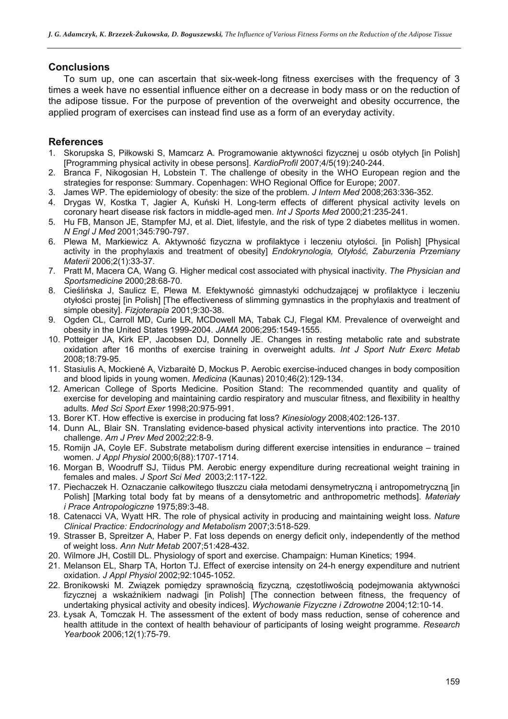# **Conclusions**

To sum up, one can ascertain that six-week-long fitness exercises with the frequency of 3 times a week have no essential influence either on a decrease in body mass or on the reduction of the adipose tissue. For the purpose of prevention of the overweight and obesity occurrence, the applied program of exercises can instead find use as a form of an everyday activity.

# **References**

- 1. Skorupska S, Piłkowski S, Mamcarz A. Programowanie aktywności fizycznej u osób otyłych [in Polish] [Programming physical activity in obese persons]. *KardioProfil* 2007;4/5(19):240-244.
- 2. Branca F, Nikogosian H, Lobstein T. The challenge of obesity in the WHO European region and the strategies for response: Summary. Copenhagen: WHO Regional Office for Europe; 2007.
- 3. James WP. The epidemiology of obesity: the size of the problem. *J Intern Med* 2008;263:336-352.
- 4. Drygas W, Kostka T, Jagier A, Kuński H. Long-term effects of different physical activity levels on coronary heart disease risk factors in middle-aged men. *Int J Sports Med* 2000;21:235-241.
- 5. Hu FB, Manson JE, Stampfer MJ, et al. Diet, lifestyle, and the risk of type 2 diabetes mellitus in women. *N Engl J Med* 2001;345:790-797.
- 6. Plewa M, Markiewicz A. Aktywność fizyczna w profilaktyce i leczeniu otyłości. [in Polish] [Physical activity in the prophylaxis and treatment of obesity] *Endokrynologia, Otyłość, Zaburzenia Przemiany Materii* 2006;2(1):33-37.
- 7. Pratt M, Macera CA, Wang G. Higher medical cost associated with physical inactivity. *The Physician and Sportsmedicine* 2000;28:68-70.
- 8. Cieślińska J, Saulicz E, Plewa M. Efektywność gimnastyki odchudzającej w profilaktyce i leczeniu otyłości prostej [in Polish] [The effectiveness of slimming gymnastics in the prophylaxis and treatment of simple obesity]. *Fizjoterapia* 2001;9:30-38.
- 9. Ogden CL, Carroll MD, Curie LR, MCDowell MA, Tabak CJ, Flegal KM. Prevalence of overweight and obesity in the United States 1999-2004. *JAMA* 2006;295:1549-1555.
- 10. Potteiger JA, Kirk EP, Jacobsen DJ, Donnelly JE. Changes in resting metabolic rate and substrate oxidation after 16 months of exercise training in overweight adults. *Int J Sport Nutr Exerc Metab* 2008;18:79-95.
- 11. Stasiulis A, Mockienė A, Vizbaraitė D, Mockus P. Aerobic exercise-induced changes in body composition and blood lipids in young women. *Medicina* (Kaunas) 2010;46(2):129-134.
- 12. American College of Sports Medicine. Position Stand: The recommended quantity and quality of exercise for developing and maintaining cardio respiratory and muscular fitness, and flexibility in healthy adults. *Med Sci Sport Exer* 1998;20:975-991.
- 13. Borer KT. How effective is exercise in producing fat loss? *Kinesiology* 2008;402:126-137.
- 14. Dunn AL, Blair SN. Translating evidence-based physical activity interventions into practice. The 2010 challenge. *Am J Prev Med* 2002;22:8-9.
- 15. Romijn JA, Coyle EF. Substrate metabolism during different exercise intensities in endurance trained women. *J Appl Physiol* 2000;6(88):1707-1714.
- 16. Morgan B, Woodruff SJ, Tiidus PM. Aerobic energy expenditure during recreational weight training in females and males. *J Sport Sci Med* 2003;2:117-122.
- 17. Piechaczek H. Oznaczanie całkowitego tłuszczu ciała metodami densymetryczną i antropometryczną [in Polish] [Marking total body fat by means of a densytometric and anthropometric methods]. *Materiały i Prace Antropologiczne* 1975;89:3-48.
- 18. Catenacci VA, Wyatt HR. The role of physical activity in producing and maintaining weight loss. *Nature Clinical Practice: Endocrinology and Metabolism* 2007;3:518-529.
- 19. Strasser B, Spreitzer A, Haber P. Fat loss depends on energy deficit only, independently of the method of weight loss. *Ann Nutr Metab* 2007;51:428-432.
- 20. Wilmore JH, Costill DL. Physiology of sport and exercise. Champaign: Human Kinetics; 1994.
- 21. Melanson EL, Sharp TA, Horton TJ. Effect of exercise intensity on 24-h energy expenditure and nutrient oxidation. *J Appl Physiol* 2002;92:1045-1052.
- 22. Bronikowski M. Związek pomiędzy sprawnością fizyczną, częstotliwością podejmowania aktywności fizycznej a wskaźnikiem nadwagi [in Polish] [The connection between fitness, the frequency of undertaking physical activity and obesity indices]. *Wychowanie Fizyczne i Zdrowotne* 2004;12:10-14.
- 23. Łysak A, Tomczak H. The assessment of the extent of body mass reduction, sense of coherence and health attitude in the context of health behaviour of participants of losing weight programme. *Research Yearbook* 2006;12(1):75-79.